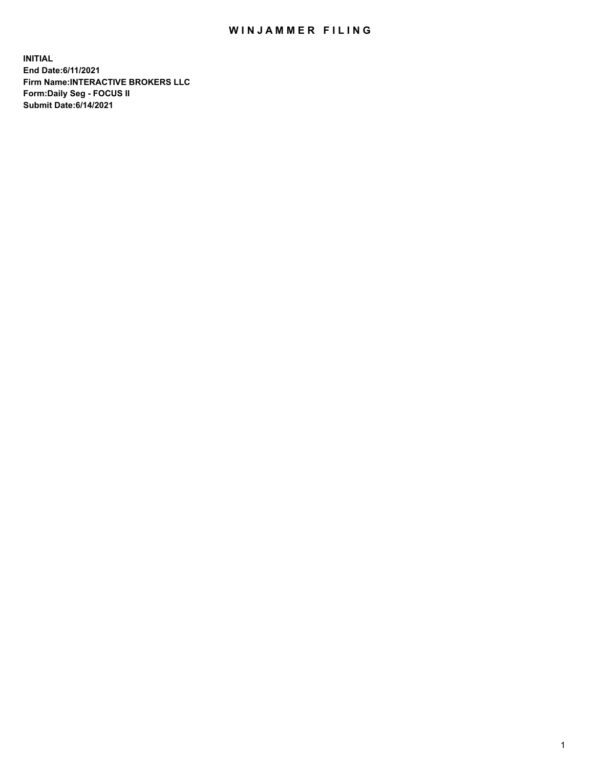## WIN JAMMER FILING

**INITIAL End Date:6/11/2021 Firm Name:INTERACTIVE BROKERS LLC Form:Daily Seg - FOCUS II Submit Date:6/14/2021**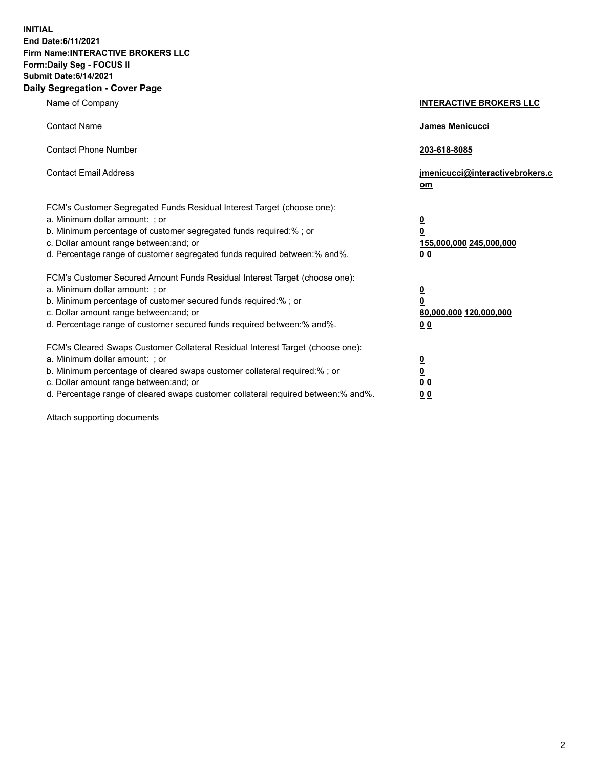**INITIAL End Date:6/11/2021 Firm Name:INTERACTIVE BROKERS LLC Form:Daily Seg - FOCUS II Submit Date:6/14/2021 Daily Segregation - Cover Page**

| Name of Company                                                                                                                                                                                                                                                                                                                | <b>INTERACTIVE BROKERS LLC</b>                                                      |
|--------------------------------------------------------------------------------------------------------------------------------------------------------------------------------------------------------------------------------------------------------------------------------------------------------------------------------|-------------------------------------------------------------------------------------|
| <b>Contact Name</b>                                                                                                                                                                                                                                                                                                            | <b>James Menicucci</b>                                                              |
| <b>Contact Phone Number</b>                                                                                                                                                                                                                                                                                                    | 203-618-8085                                                                        |
| <b>Contact Email Address</b>                                                                                                                                                                                                                                                                                                   | jmenicucci@interactivebrokers.c<br>om                                               |
| FCM's Customer Segregated Funds Residual Interest Target (choose one):<br>a. Minimum dollar amount: ; or<br>b. Minimum percentage of customer segregated funds required:% ; or<br>c. Dollar amount range between: and; or<br>d. Percentage range of customer segregated funds required between:% and%.                         | $\overline{\mathbf{0}}$<br>$\overline{\mathbf{0}}$<br>155,000,000 245,000,000<br>00 |
| FCM's Customer Secured Amount Funds Residual Interest Target (choose one):<br>a. Minimum dollar amount: ; or<br>b. Minimum percentage of customer secured funds required:% ; or<br>c. Dollar amount range between: and; or<br>d. Percentage range of customer secured funds required between:% and%.                           | $\overline{\mathbf{0}}$<br>$\overline{\mathbf{0}}$<br>80,000,000 120,000,000<br>00  |
| FCM's Cleared Swaps Customer Collateral Residual Interest Target (choose one):<br>a. Minimum dollar amount: ; or<br>b. Minimum percentage of cleared swaps customer collateral required:% ; or<br>c. Dollar amount range between: and; or<br>d. Percentage range of cleared swaps customer collateral required between:% and%. | $\overline{\mathbf{0}}$<br><u>0</u><br>0 <sub>0</sub><br>0 <sub>0</sub>             |

Attach supporting documents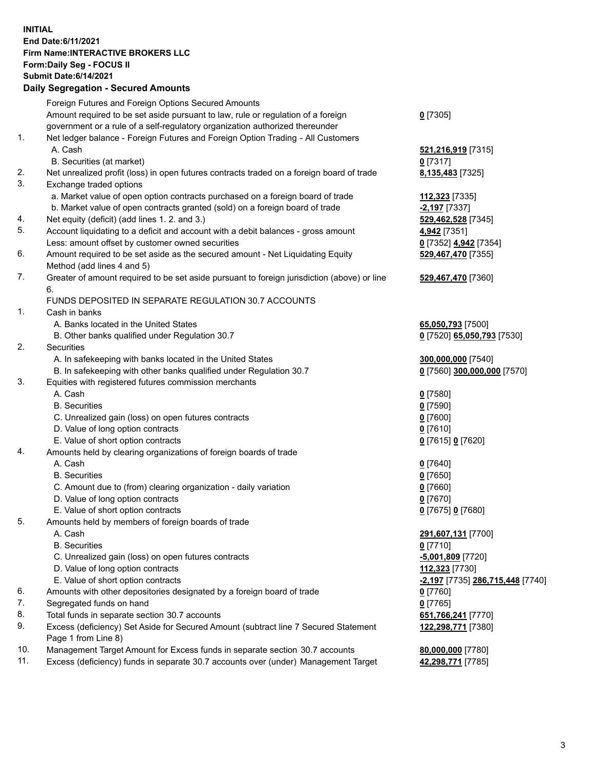## **INITIAL End Date:6/11/2021 Firm Name:INTERACTIVE BROKERS LLC Form:Daily Seg - FOCUS II Submit Date:6/14/2021 Daily Segregation - Secured Amounts**

|     | Dally Segregation - Secured Amounts                                                         |                                         |
|-----|---------------------------------------------------------------------------------------------|-----------------------------------------|
|     | Foreign Futures and Foreign Options Secured Amounts                                         |                                         |
|     | Amount required to be set aside pursuant to law, rule or regulation of a foreign            | $0$ [7305]                              |
|     | government or a rule of a self-regulatory organization authorized thereunder                |                                         |
| 1.  | Net ledger balance - Foreign Futures and Foreign Option Trading - All Customers             |                                         |
|     | A. Cash                                                                                     | 521,216,919 [7315]                      |
|     | B. Securities (at market)                                                                   | $0$ [7317]                              |
| 2.  | Net unrealized profit (loss) in open futures contracts traded on a foreign board of trade   | 8,135,483 [7325]                        |
| 3.  | Exchange traded options                                                                     |                                         |
|     | a. Market value of open option contracts purchased on a foreign board of trade              | 112,323 [7335]                          |
|     | b. Market value of open contracts granted (sold) on a foreign board of trade                | -2,197 [7337]                           |
| 4.  | Net equity (deficit) (add lines 1. 2. and 3.)                                               | 529,462,528 [7345]                      |
| 5.  | Account liquidating to a deficit and account with a debit balances - gross amount           | 4,942 [7351]                            |
|     | Less: amount offset by customer owned securities                                            | 0 [7352] 4,942 [7354]                   |
| 6.  | Amount required to be set aside as the secured amount - Net Liquidating Equity              | 529,467,470 [7355]                      |
|     | Method (add lines 4 and 5)                                                                  |                                         |
| 7.  | Greater of amount required to be set aside pursuant to foreign jurisdiction (above) or line | 529,467,470 [7360]                      |
|     | 6.                                                                                          |                                         |
|     | FUNDS DEPOSITED IN SEPARATE REGULATION 30.7 ACCOUNTS                                        |                                         |
| 1.  | Cash in banks                                                                               |                                         |
|     | A. Banks located in the United States                                                       | 65,050,793 [7500]                       |
|     | B. Other banks qualified under Regulation 30.7                                              | 0 [7520] 65,050,793 [7530]              |
| 2.  | Securities                                                                                  |                                         |
|     | A. In safekeeping with banks located in the United States                                   | 300,000,000 [7540]                      |
|     | B. In safekeeping with other banks qualified under Regulation 30.7                          | 0 [7560] 300,000,000 [7570]             |
| 3.  | Equities with registered futures commission merchants                                       |                                         |
|     | A. Cash                                                                                     | $0$ [7580]                              |
|     | <b>B.</b> Securities                                                                        | $0$ [7590]                              |
|     | C. Unrealized gain (loss) on open futures contracts                                         | $0$ [7600]                              |
|     | D. Value of long option contracts                                                           | $0$ [7610]                              |
|     | E. Value of short option contracts                                                          | 0 [7615] 0 [7620]                       |
| 4.  | Amounts held by clearing organizations of foreign boards of trade                           |                                         |
|     | A. Cash                                                                                     | $0$ [7640]                              |
|     | <b>B.</b> Securities                                                                        | $0$ [7650]                              |
|     | C. Amount due to (from) clearing organization - daily variation                             | $0$ [7660]                              |
|     | D. Value of long option contracts                                                           | $0$ [7670]                              |
|     | E. Value of short option contracts                                                          | 0 [7675] 0 [7680]                       |
| 5.  | Amounts held by members of foreign boards of trade                                          |                                         |
|     | A. Cash                                                                                     | 291,607,131 [7700]                      |
|     | <b>B.</b> Securities                                                                        | $0$ [7710]                              |
|     | C. Unrealized gain (loss) on open futures contracts                                         | $-5,001,809$ [7720]                     |
|     | D. Value of long option contracts                                                           | 112,323 [7730]                          |
|     | E. Value of short option contracts                                                          | <u>-2,197</u> [7735] 286,715,448 [7740] |
| 6.  | Amounts with other depositories designated by a foreign board of trade                      | 0 [7760]                                |
| 7.  | Segregated funds on hand                                                                    | $0$ [7765]                              |
| 8.  | Total funds in separate section 30.7 accounts                                               | 651,766,241 [7770]                      |
| 9.  | Excess (deficiency) Set Aside for Secured Amount (subtract line 7 Secured Statement         | 122,298,771 [7380]                      |
|     | Page 1 from Line 8)                                                                         |                                         |
| 10. | Management Target Amount for Excess funds in separate section 30.7 accounts                 | 80,000,000 [7780]                       |
| 11. | Excess (deficiency) funds in separate 30.7 accounts over (under) Management Target          | 42,298,771 [7785]                       |
|     |                                                                                             |                                         |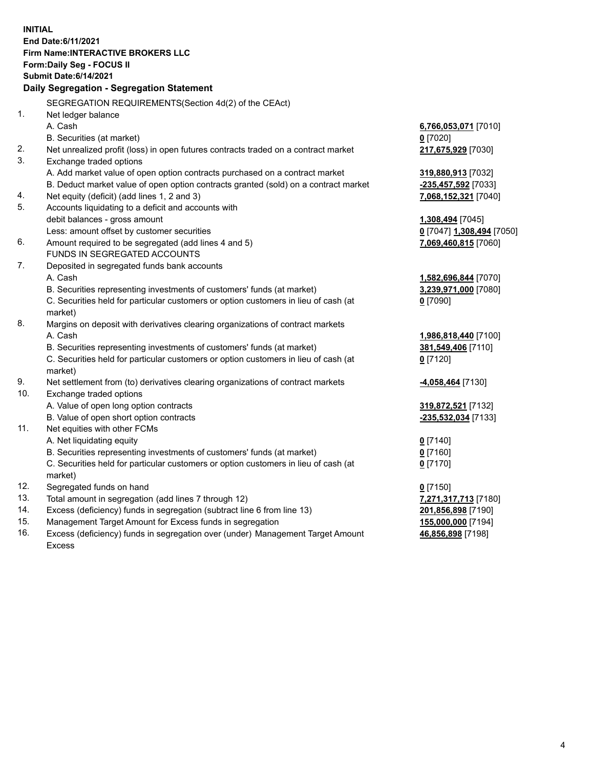**INITIAL End Date:6/11/2021 Firm Name:INTERACTIVE BROKERS LLC Form:Daily Seg - FOCUS II Submit Date:6/14/2021 Daily Segregation - Segregation Statement** SEGREGATION REQUIREMENTS(Section 4d(2) of the CEAct) 1. Net ledger balance A. Cash **6,766,053,071** [7010] B. Securities (at market) **0** [7020] 2. Net unrealized profit (loss) in open futures contracts traded on a contract market **217,675,929** [7030] 3. Exchange traded options A. Add market value of open option contracts purchased on a contract market **319,880,913** [7032] B. Deduct market value of open option contracts granted (sold) on a contract market **-235,457,592** [7033] 4. Net equity (deficit) (add lines 1, 2 and 3) **7,068,152,321** [7040] 5. Accounts liquidating to a deficit and accounts with debit balances - gross amount **1,308,494** [7045] Less: amount offset by customer securities **0** [7047] **1,308,494** [7050] 6. Amount required to be segregated (add lines 4 and 5) **7,069,460,815** [7060] FUNDS IN SEGREGATED ACCOUNTS 7. Deposited in segregated funds bank accounts A. Cash **1,582,696,844** [7070] B. Securities representing investments of customers' funds (at market) **3,239,971,000** [7080] C. Securities held for particular customers or option customers in lieu of cash (at market) **0** [7090] 8. Margins on deposit with derivatives clearing organizations of contract markets A. Cash **1,986,818,440** [7100] B. Securities representing investments of customers' funds (at market) **381,549,406** [7110] C. Securities held for particular customers or option customers in lieu of cash (at market) **0** [7120] 9. Net settlement from (to) derivatives clearing organizations of contract markets **-4,058,464** [7130] 10. Exchange traded options A. Value of open long option contracts **319,872,521** [7132] B. Value of open short option contracts **-235,532,034** [7133] 11. Net equities with other FCMs A. Net liquidating equity **0** [7140] B. Securities representing investments of customers' funds (at market) **0** [7160] C. Securities held for particular customers or option customers in lieu of cash (at market) **0** [7170] 12. Segregated funds on hand **0** [7150] 13. Total amount in segregation (add lines 7 through 12) **7,271,317,713** [7180] 14. Excess (deficiency) funds in segregation (subtract line 6 from line 13) **201,856,898** [7190] 15. Management Target Amount for Excess funds in segregation **155,000,000** [7194]

16. Excess (deficiency) funds in segregation over (under) Management Target Amount Excess

**46,856,898** [7198]